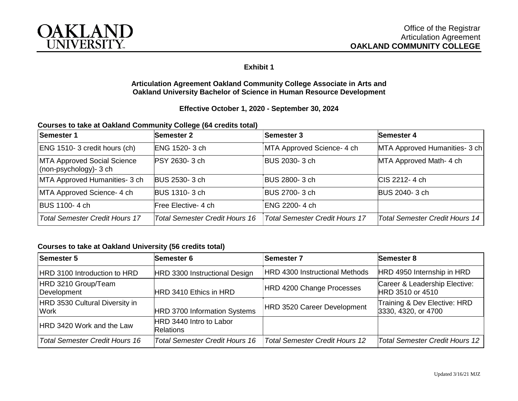

## **Exhibit 1**

#### **Articulation Agreement Oakland Community College Associate in Arts and Oakland University Bachelor of Science in Human Resource Development**

### **Effective October 1, 2020 - September 30, 2024**

### **Courses to take at Oakland Community College (64 credits total)**

| Semester 1                                                     | <b>Semester 2</b>              | <b>Semester 3</b>              | Semester 4                     |
|----------------------------------------------------------------|--------------------------------|--------------------------------|--------------------------------|
| ENG 1510-3 credit hours (ch)                                   | ENG 1520-3 ch                  | MTA Approved Science- 4 ch     | MTA Approved Humanities- 3 ch  |
| MTA Approved Social Science<br>$\vert$ (non-psychology) - 3 ch | <b>PSY 2630-3 ch</b>           | BUS 2030-3 ch                  | MTA Approved Math- 4 ch        |
| MTA Approved Humanities- 3 ch                                  | <b>BUS 2530-3 ch</b>           | BUS 2800-3 ch                  | ICIS 2212-4 ch                 |
| MTA Approved Science- 4 ch                                     | <b>BUS 1310-3 ch</b>           | BUS 2700-3 ch                  | <b>BUS 2040-3 ch</b>           |
| <b>BUS 1100-4 ch</b>                                           | Free Elective- 4 ch            | ENG 2200-4 ch                  |                                |
| <b>Total Semester Credit Hours 17</b>                          | Total Semester Credit Hours 16 | Total Semester Credit Hours 17 | Total Semester Credit Hours 14 |

### **Courses to take at Oakland University (56 credits total)**

| Semester 5                                    | Semester 6                                  | <b>Semester 7</b>                     | Semester 8                                          |
|-----------------------------------------------|---------------------------------------------|---------------------------------------|-----------------------------------------------------|
| HRD 3100 Introduction to HRD                  | HRD 3300 Instructional Design               | <b>HRD 4300 Instructional Methods</b> | HRD 4950 Internship in HRD                          |
| HRD 3210 Group/Team<br>Development            | HRD 3410 Ethics in HRD                      | HRD 4200 Change Processes             | Career & Leadership Elective:<br>HRD 3510 or 4510   |
| HRD 3530 Cultural Diversity in<br><b>Work</b> | HRD 3700 Information Systems                | HRD 3520 Career Development           | Training & Dev Elective: HRD<br>3330, 4320, or 4700 |
| HRD 3420 Work and the Law                     | HRD 3440 Intro to Labor<br><b>Relations</b> |                                       |                                                     |
| <b>Total Semester Credit Hours 16</b>         | <b>Total Semester Credit Hours 16</b>       | <b>Total Semester Credit Hours 12</b> | <b>Total Semester Credit Hours 12</b>               |